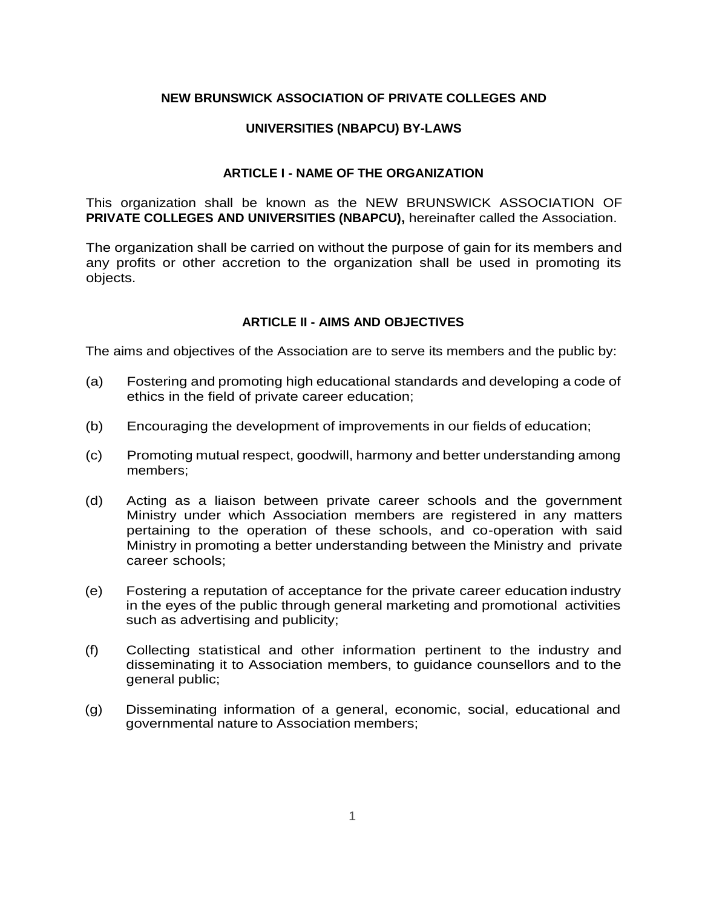## **NEW BRUNSWICK ASSOCIATION OF PRIVATE COLLEGES AND**

# **UNIVERSITIES (NBAPCU) BY-LAWS**

## **ARTICLE I - NAME OF THE ORGANIZATION**

This organization shall be known as the NEW BRUNSWICK ASSOCIATION OF **PRIVATE COLLEGES AND UNIVERSITIES (NBAPCU),** hereinafter called the Association.

The organization shall be carried on without the purpose of gain for its members and any profits or other accretion to the organization shall be used in promoting its objects.

## **ARTICLE II - AIMS AND OBJECTIVES**

The aims and objectives of the Association are to serve its members and the public by:

- (a) Fostering and promoting high educational standards and developing a code of ethics in the field of private career education;
- (b) Encouraging the development of improvements in our fields of education;
- (c) Promoting mutual respect, goodwill, harmony and better understanding among members;
- (d) Acting as a liaison between private career schools and the government Ministry under which Association members are registered in any matters pertaining to the operation of these schools, and co-operation with said Ministry in promoting a better understanding between the Ministry and private career schools;
- (e) Fostering a reputation of acceptance for the private career education industry in the eyes of the public through general marketing and promotional activities such as advertising and publicity;
- (f) Collecting statistical and other information pertinent to the industry and disseminating it to Association members, to guidance counsellors and to the general public;
- (g) Disseminating information of a general, economic, social, educational and governmental nature to Association members;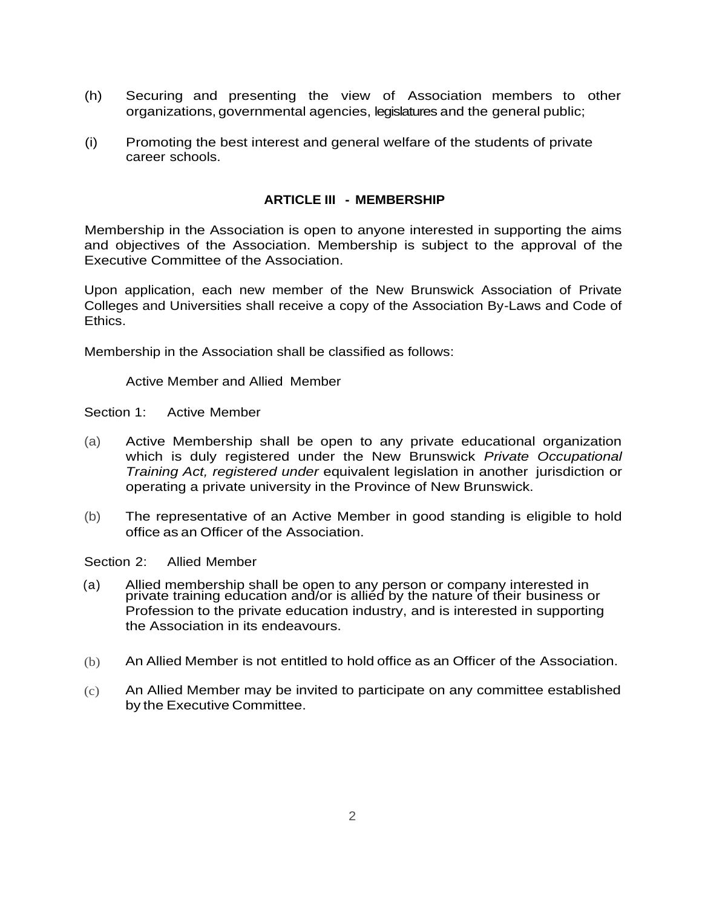- (h) Securing and presenting the view of Association members to other organizations, governmental agencies, legislatures and the general public;
- (i) Promoting the best interest and general welfare of the students of private career schools.

### **ARTICLE III - MEMBERSHIP**

Membership in the Association is open to anyone interested in supporting the aims and objectives of the Association. Membership is subject to the approval of the Executive Committee of the Association.

Upon application, each new member of the New Brunswick Association of Private Colleges and Universities shall receive a copy of the Association By-Laws and Code of Ethics.

Membership in the Association shall be classified as follows:

Active Member and Allied Member

Section 1: Active Member

- (a) Active Membership shall be open to any private educational organization which is duly registered under the New Brunswick *Private Occupational Training Act, registered under* equivalent legislation in another jurisdiction or operating a private university in the Province of New Brunswick.
- (b) The representative of an Active Member in good standing is eligible to hold office as an Officer of the Association.

Section 2: Allied Member

- (a) Allied membership shall be open to any person or company interested in private training education and/or is allied by the nature of their business or Profession to the private education industry, and is interested in supporting the Association in its endeavours.
	- (b) An Allied Member is not entitled to hold office as an Officer of the Association.
	- (c) An Allied Member may be invited to participate on any committee established by the Executive Committee.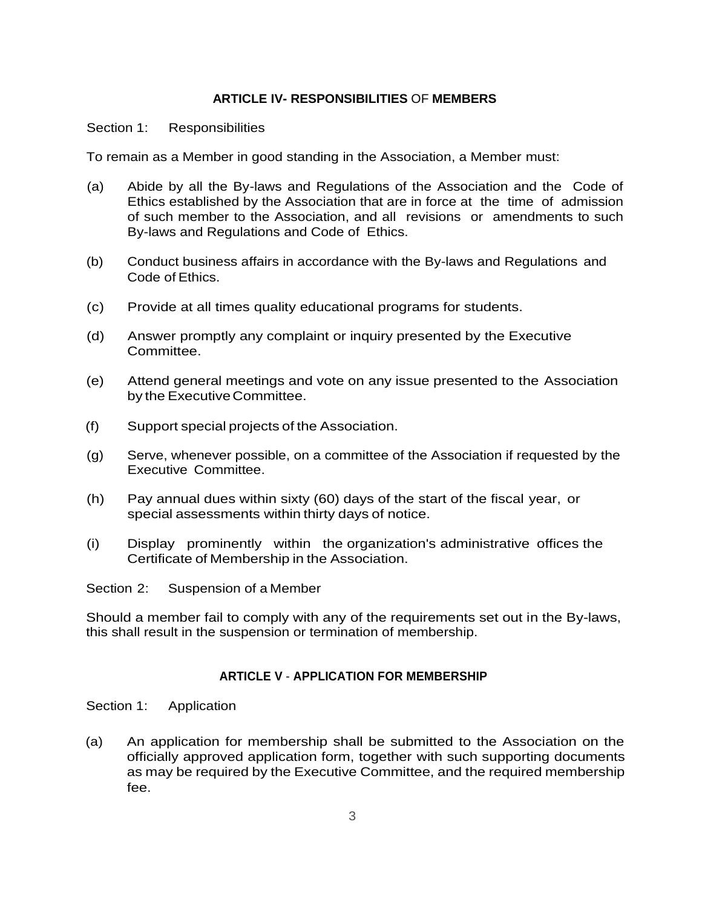### **ARTICLE IV- RESPONSIBILITIES** OF **MEMBERS**

Section 1: Responsibilities

To remain as a Member in good standing in the Association, a Member must:

- (a) Abide by all the By-laws and Regulations of the Association and the Code of Ethics established by the Association that are in force at the time of admission of such member to the Association, and all revisions or amendments to such By-laws and Regulations and Code of Ethics.
- (b) Conduct business affairs in accordance with the By-laws and Regulations and Code of Ethics.
- (c) Provide at all times quality educational programs for students.
- (d) Answer promptly any complaint or inquiry presented by the Executive Committee.
- (e) Attend general meetings and vote on any issue presented to the Association by the Executive Committee.
- (f) Support special projects of the Association.
- (g) Serve, whenever possible, on a committee of the Association if requested by the Executive Committee.
- (h) Pay annual dues within sixty (60) days of the start of the fiscal year, or special assessments within thirty days of notice.
- (i) Display prominently within the organization's administrative offices the Certificate of Membership in the Association.

Section 2: Suspension of a Member

Should a member fail to comply with any of the requirements set out in the By-laws, this shall result in the suspension or termination of membership.

# **ARTICLE V** - **APPLICATION FOR MEMBERSHIP**

Section 1: Application

(a) An application for membership shall be submitted to the Association on the officially approved application form, together with such supporting documents as may be required by the Executive Committee, and the required membership fee.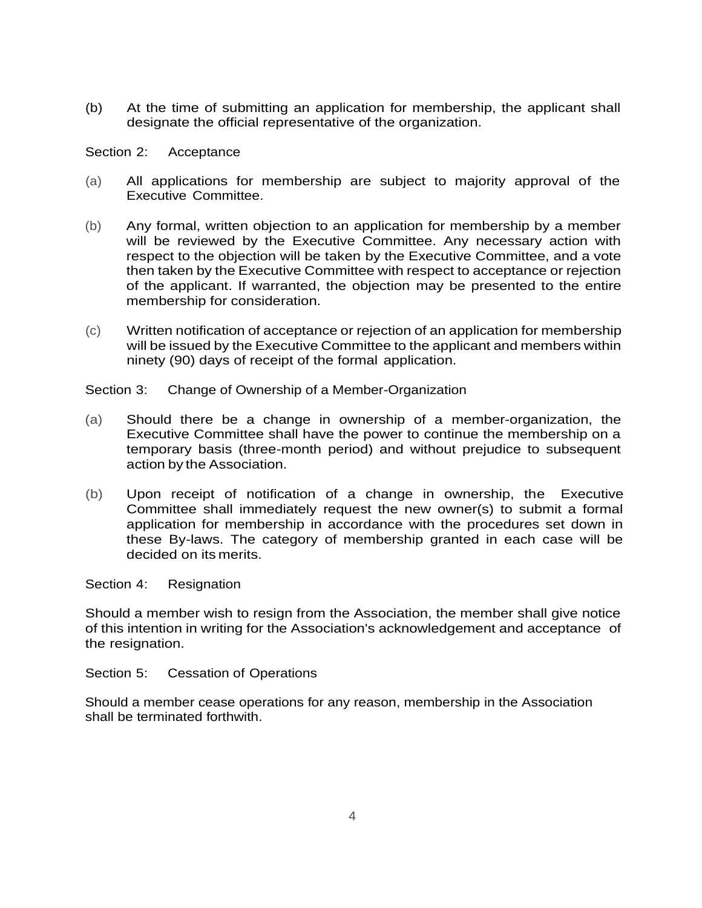(b) At the time of submitting an application for membership, the applicant shall designate the official representative of the organization.

Section 2: Acceptance

- (a) All applications for membership are subject to majority approval of the Executive Committee.
- (b) Any formal, written objection to an application for membership by a member will be reviewed by the Executive Committee. Any necessary action with respect to the objection will be taken by the Executive Committee, and a vote then taken by the Executive Committee with respect to acceptance or rejection of the applicant. If warranted, the objection may be presented to the entire membership for consideration.
- (c) Written notification of acceptance or rejection of an application for membership will be issued by the Executive Committee to the applicant and members within ninety (90) days of receipt of the formal application.

Section 3: Change of Ownership of a Member-Organization

- (a) Should there be a change in ownership of a member-organization, the Executive Committee shall have the power to continue the membership on a temporary basis (three-month period) and without prejudice to subsequent action by the Association.
- (b) Upon receipt of notification of a change in ownership, the Executive Committee shall immediately request the new owner(s) to submit a formal application for membership in accordance with the procedures set down in these By-laws. The category of membership granted in each case will be decided on its merits.

Section 4: Resignation

Should a member wish to resign from the Association, the member shall give notice of this intention in writing for the Association's acknowledgement and acceptance of the resignation.

Section 5: Cessation of Operations

Should a member cease operations for any reason, membership in the Association shall be terminated forthwith.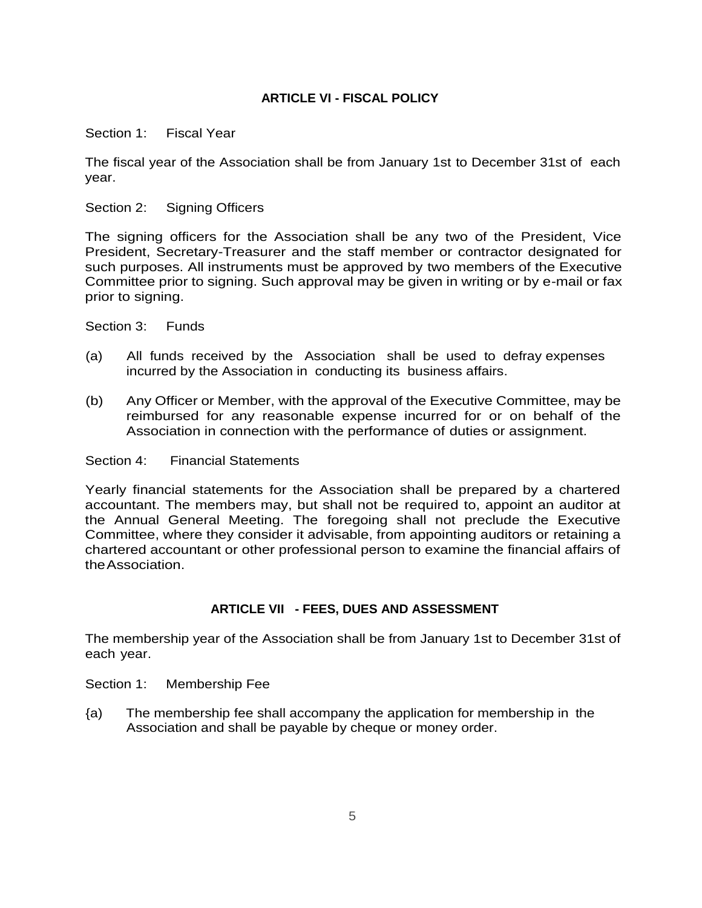# **ARTICLE VI - FISCAL POLICY**

Section 1: Fiscal Year

The fiscal year of the Association shall be from January 1st to December 31st of each year.

# Section 2: Signing Officers

The signing officers for the Association shall be any two of the President, Vice President, Secretary-Treasurer and the staff member or contractor designated for such purposes. All instruments must be approved by two members of the Executive Committee prior to signing. Such approval may be given in writing or by e-mail or fax prior to signing.

Section 3: Funds

- (a) All funds received by the Association shall be used to defray expenses incurred by the Association in conducting its business affairs.
- (b) Any Officer or Member, with the approval of the Executive Committee, may be reimbursed for any reasonable expense incurred for or on behalf of the Association in connection with the performance of duties or assignment.

### Section 4: Financial Statements

Yearly financial statements for the Association shall be prepared by a chartered accountant. The members may, but shall not be required to, appoint an auditor at the Annual General Meeting. The foregoing shall not preclude the Executive Committee, where they consider it advisable, from appointing auditors or retaining a chartered accountant or other professional person to examine the financial affairs of theAssociation.

# **ARTICLE VII - FEES, DUES AND ASSESSMENT**

The membership year of the Association shall be from January 1st to December 31st of each year.

Section 1: Membership Fee

{a) The membership fee shall accompany the application for membership in the Association and shall be payable by cheque or money order.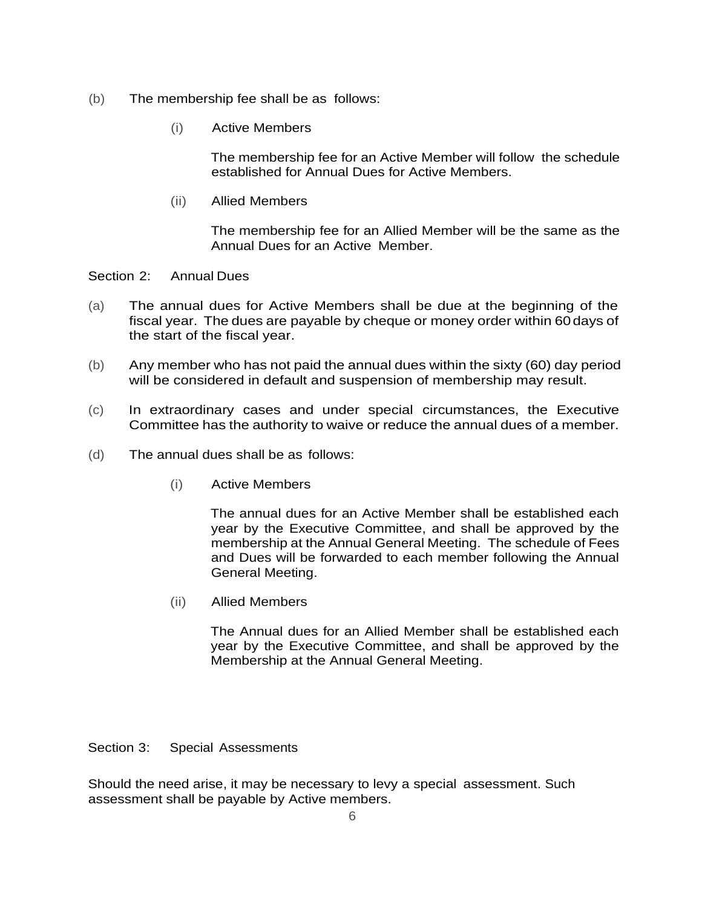- (b) The membership fee shall be as follows:
	- (i) Active Members

The membership fee for an Active Member will follow the schedule established for Annual Dues for Active Members.

(ii) Allied Members

The membership fee for an Allied Member will be the same as the Annual Dues for an Active Member.

Section 2: Annual Dues

- (a) The annual dues for Active Members shall be due at the beginning of the fiscal year. The dues are payable by cheque or money order within 60days of the start of the fiscal year.
- (b) Any member who has not paid the annual dues within the sixty (60) day period will be considered in default and suspension of membership may result.
- (c) In extraordinary cases and under special circumstances, the Executive Committee has the authority to waive or reduce the annual dues of a member.
- (d) The annual dues shall be as follows:
	- (i) Active Members

The annual dues for an Active Member shall be established each year by the Executive Committee, and shall be approved by the membership at the Annual General Meeting. The schedule of Fees and Dues will be forwarded to each member following the Annual General Meeting.

(ii) Allied Members

The Annual dues for an Allied Member shall be established each year by the Executive Committee, and shall be approved by the Membership at the Annual General Meeting.

Section 3: Special Assessments

Should the need arise, it may be necessary to levy a special assessment. Such assessment shall be payable by Active members.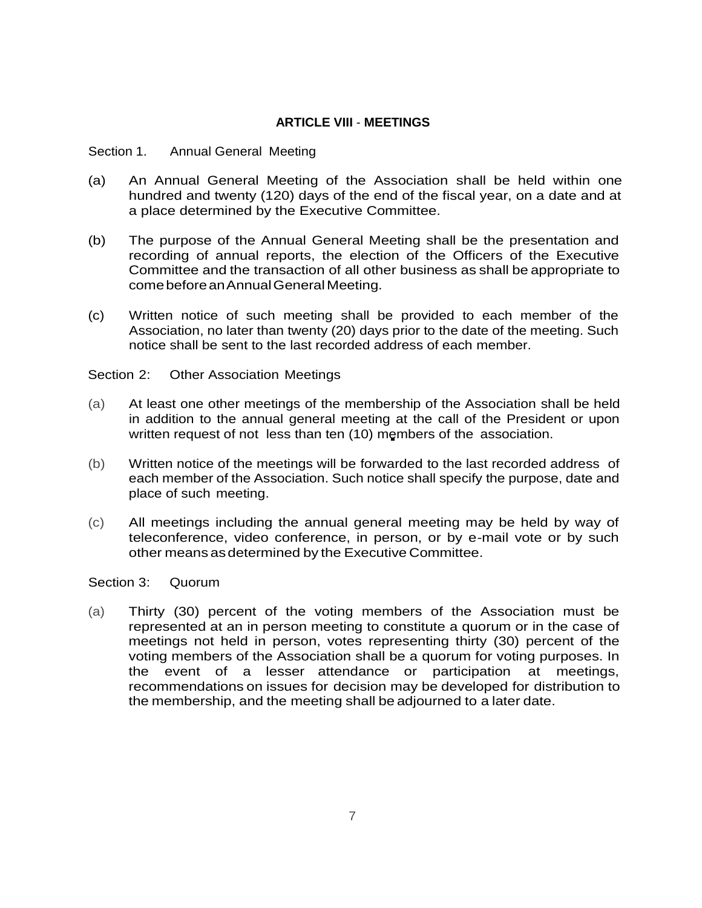# **ARTICLE VIII** - **MEETINGS**

#### Section 1. Annual General Meeting

- (a) An Annual General Meeting of the Association shall be held within one hundred and twenty (120) days of the end of the fiscal year, on a date and at a place determined by the Executive Committee.
- (b) The purpose of the Annual General Meeting shall be the presentation and recording of annual reports, the election of the Officers of the Executive Committee and the transaction of all other business as shall be appropriate to comebeforeanAnnualGeneralMeeting.
- (c) Written notice of such meeting shall be provided to each member of the Association, no later than twenty (20) days prior to the date of the meeting. Such notice shall be sent to the last recorded address of each member.

#### Section 2: Other Association Meetings

- (a) At least one other meetings of the membership of the Association shall be held in addition to the annual general meeting at the call of the President or upon written request of not less than ten (10) members of the association.
- (b) Written notice of the meetings will be forwarded to the last recorded address of each member of the Association. Such notice shall specify the purpose, date and place of such meeting.
- (c) All meetings including the annual general meeting may be held by way of teleconference, video conference, in person, or by e-mail vote or by such other means asdetermined by the Executive Committee.

Section 3: Quorum

(a) Thirty (30) percent of the voting members of the Association must be represented at an in person meeting to constitute a quorum or in the case of meetings not held in person, votes representing thirty (30) percent of the voting members of the Association shall be a quorum for voting purposes. In the event of a lesser attendance or participation at meetings, recommendations on issues for decision may be developed for distribution to the membership, and the meeting shall be adjourned to a later date.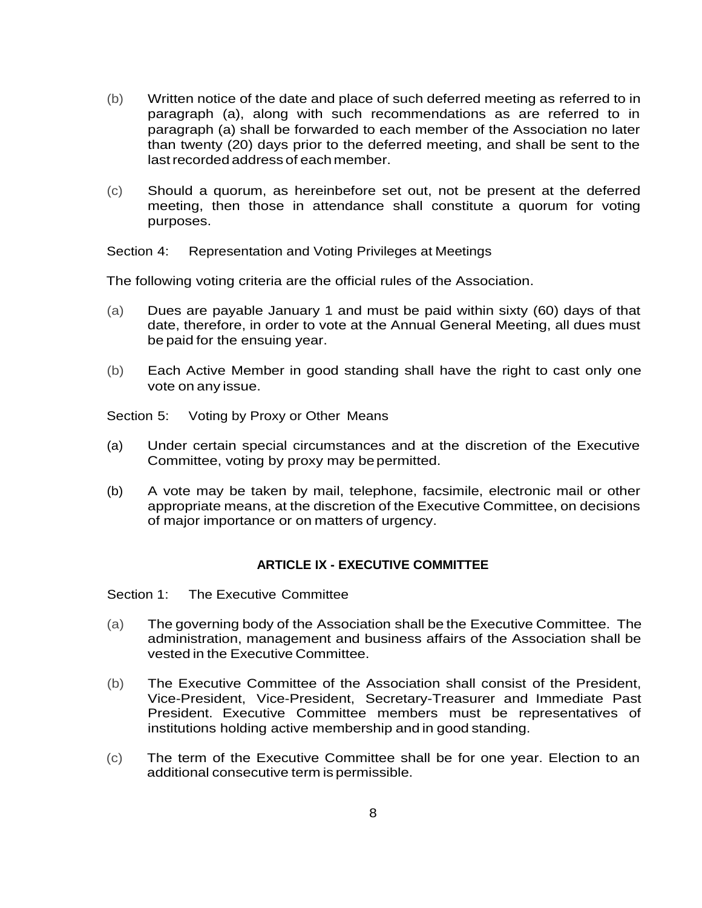- (b) Written notice of the date and place of such deferred meeting as referred to in paragraph (a), along with such recommendations as are referred to in paragraph (a) shall be forwarded to each member of the Association no later than twenty (20) days prior to the deferred meeting, and shall be sent to the lastrecorded address of each member.
- (c) Should a quorum, as hereinbefore set out, not be present at the deferred meeting, then those in attendance shall constitute a quorum for voting purposes.

Section 4: Representation and Voting Privileges at Meetings

The following voting criteria are the official rules of the Association.

- (a) Dues are payable January 1 and must be paid within sixty (60) days of that date, therefore, in order to vote at the Annual General Meeting, all dues must be paid for the ensuing year.
- (b) Each Active Member in good standing shall have the right to cast only one vote on any issue.

Section 5: Voting by Proxy or Other Means

- (a) Under certain special circumstances and at the discretion of the Executive Committee, voting by proxy may be permitted.
- (b) A vote may be taken by mail, telephone, facsimile, electronic mail or other appropriate means, at the discretion of the Executive Committee, on decisions of major importance or on matters of urgency.

#### **ARTICLE IX - EXECUTIVE COMMITTEE**

Section 1: The Executive Committee

- (a) The governing body of the Association shall be the Executive Committee. The administration, management and business affairs of the Association shall be vested in the Executive Committee.
- (b) The Executive Committee of the Association shall consist of the President, Vice-President, Vice-President, Secretary-Treasurer and Immediate Past President. Executive Committee members must be representatives of institutions holding active membership and in good standing.
- (c) The term of the Executive Committee shall be for one year. Election to an additional consecutive term is permissible.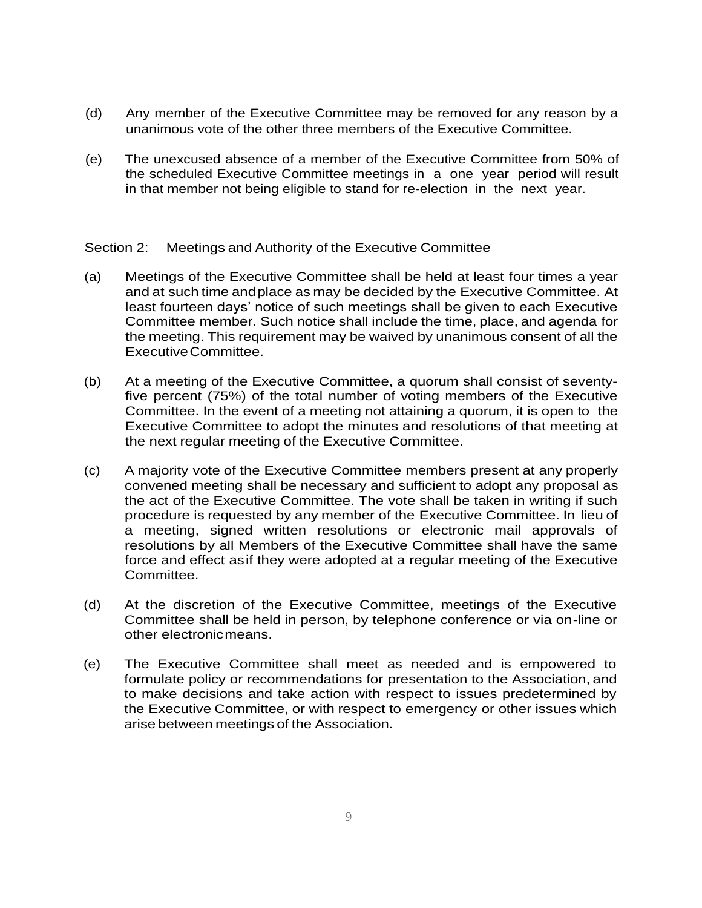- (d) Any member of the Executive Committee may be removed for any reason by a unanimous vote of the other three members of the Executive Committee.
- (e) The unexcused absence of a member of the Executive Committee from 50% of the scheduled Executive Committee meetings in a one year period will result in that member not being eligible to stand for re-election in the next year.

Section 2: Meetings and Authority of the Executive Committee

- (a) Meetings of the Executive Committee shall be held at least four times a year and at such time andplace as may be decided by the Executive Committee. At least fourteen days' notice of such meetings shall be given to each Executive Committee member. Such notice shall include the time, place, and agenda for the meeting. This requirement may be waived by unanimous consent of all the ExecutiveCommittee.
- (b) At a meeting of the Executive Committee, a quorum shall consist of seventyfive percent (75%) of the total number of voting members of the Executive Committee. In the event of a meeting not attaining a quorum, it is open to the Executive Committee to adopt the minutes and resolutions of that meeting at the next regular meeting of the Executive Committee.
- (c) A majority vote of the Executive Committee members present at any properly convened meeting shall be necessary and sufficient to adopt any proposal as the act of the Executive Committee. The vote shall be taken in writing if such procedure is requested by any member of the Executive Committee. In lieu of a meeting, signed written resolutions or electronic mail approvals of resolutions by all Members of the Executive Committee shall have the same force and effect asif they were adopted at a regular meeting of the Executive Committee.
- (d) At the discretion of the Executive Committee, meetings of the Executive Committee shall be held in person, by telephone conference or via on-line or other electronicmeans.
- (e) The Executive Committee shall meet as needed and is empowered to formulate policy or recommendations for presentation to the Association, and to make decisions and take action with respect to issues predetermined by the Executive Committee, or with respect to emergency or other issues which arise between meetings of the Association.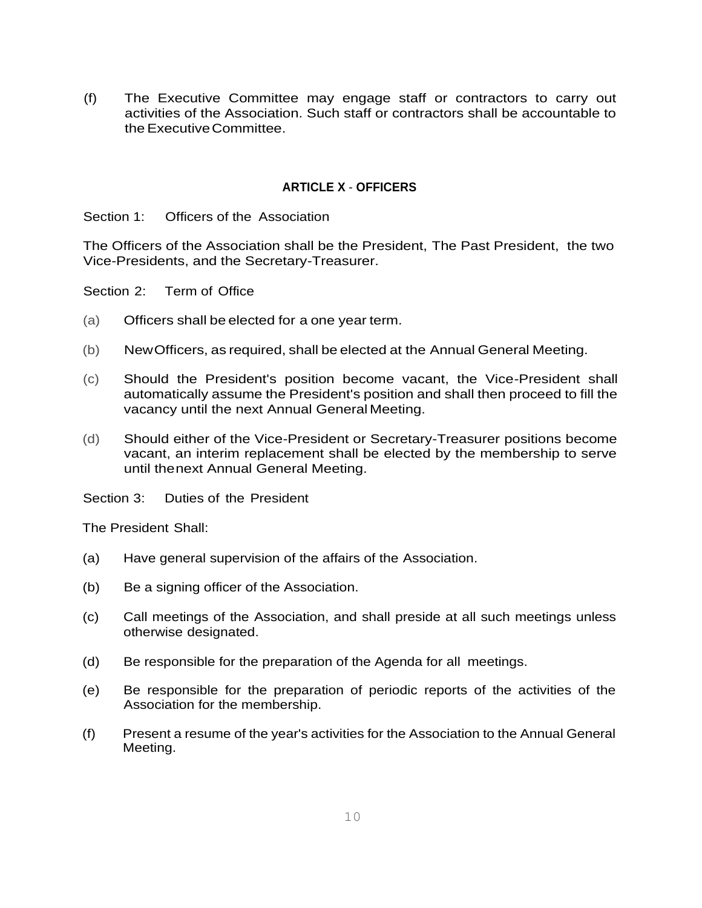(f) The Executive Committee may engage staff or contractors to carry out activities of the Association. Such staff or contractors shall be accountable to the Executive Committee.

# **ARTICLE X** - **OFFICERS**

Section 1: Officers of the Association

The Officers of the Association shall be the President, The Past President, the two Vice-Presidents, and the Secretary-Treasurer.

Section 2: Term of Office

- (a) Officers shall be elected for a one year term.
- (b) NewOfficers, as required, shall be elected at the Annual General Meeting.
- (c) Should the President's position become vacant, the Vice-President shall automatically assume the President's position and shall then proceed to fill the vacancy until the next Annual General Meeting.
- (d) Should either of the Vice-President or Secretary-Treasurer positions become vacant, an interim replacement shall be elected by the membership to serve until thenext Annual General Meeting.
- Section 3: Duties of the President

The President Shall:

- (a) Have general supervision of the affairs of the Association.
- (b) Be a signing officer of the Association.
- (c) Call meetings of the Association, and shall preside at all such meetings unless otherwise designated.
- (d) Be responsible for the preparation of the Agenda for all meetings.
- (e) Be responsible for the preparation of periodic reports of the activities of the Association for the membership.
- (f) Present a resume of the year's activities for the Association to the Annual General Meeting.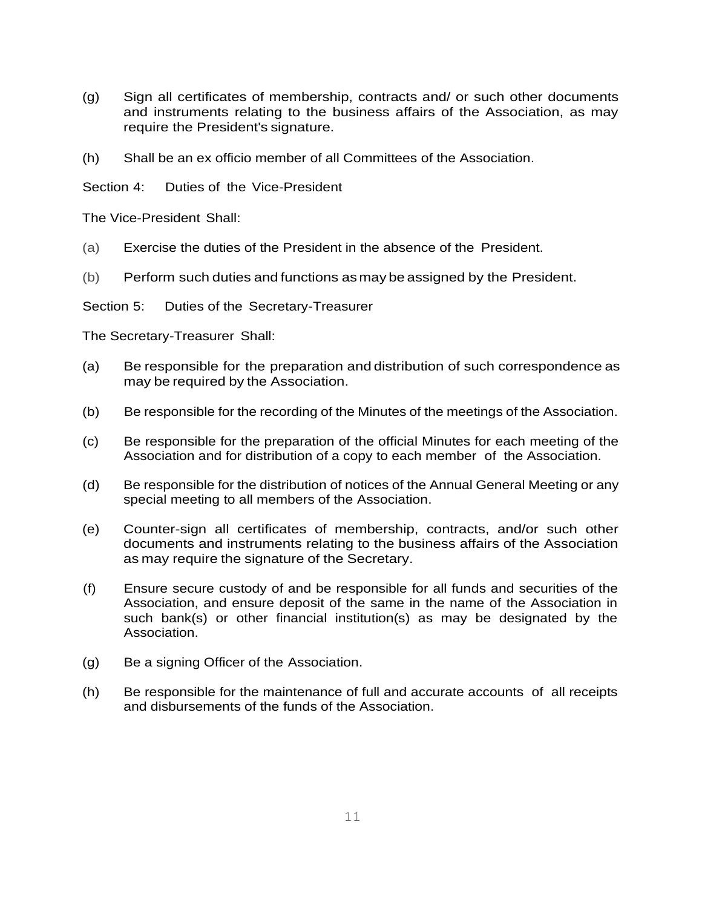- (g) Sign all certificates of membership, contracts and/ or such other documents and instruments relating to the business affairs of the Association, as may require the President's signature.
- (h) Shall be an ex officio member of all Committees of the Association.

Section 4: Duties of the Vice-President

The Vice-President Shall:

- (a) Exercise the duties of the President in the absence of the President.
- (b) Perform such duties and functions asmay be assigned by the President.

Section 5: Duties of the Secretary-Treasurer

The Secretary-Treasurer Shall:

- (a) Be responsible for the preparation and distribution of such correspondence as may be required by the Association.
- (b) Be responsible for the recording of the Minutes of the meetings of the Association.
- (c) Be responsible for the preparation of the official Minutes for each meeting of the Association and for distribution of a copy to each member of the Association.
- (d) Be responsible for the distribution of notices of the Annual General Meeting or any special meeting to all members of the Association.
- (e) Counter-sign all certificates of membership, contracts, and/or such other documents and instruments relating to the business affairs of the Association as may require the signature of the Secretary.
- (f) Ensure secure custody of and be responsible for all funds and securities of the Association, and ensure deposit of the same in the name of the Association in such bank(s) or other financial institution(s) as may be designated by the Association.
- (g) Be a signing Officer of the Association.
- (h) Be responsible for the maintenance of full and accurate accounts of all receipts and disbursements of the funds of the Association.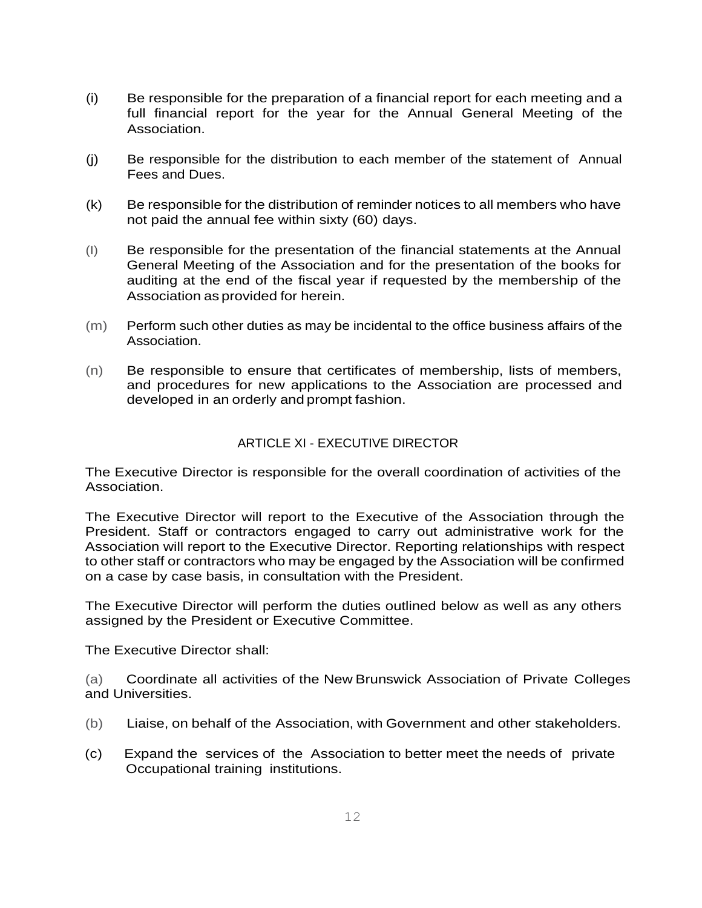- (i) Be responsible for the preparation of a financial report for each meeting and a full financial report for the year for the Annual General Meeting of the Association.
- (j) Be responsible for the distribution to each member of the statement of Annual Fees and Dues.
- (k) Be responsible for the distribution of reminder notices to all members who have not paid the annual fee within sixty (60) days.
- (I) Be responsible for the presentation of the financial statements at the Annual General Meeting of the Association and for the presentation of the books for auditing at the end of the fiscal year if requested by the membership of the Association as provided for herein.
- (m) Perform such other duties as may be incidental to the office business affairs of the Association.
- (n) Be responsible to ensure that certificates of membership, lists of members, and procedures for new applications to the Association are processed and developed in an orderly and prompt fashion.

# ARTICLE XI - EXECUTIVE DIRECTOR

The Executive Director is responsible for the overall coordination of activities of the Association.

The Executive Director will report to the Executive of the Association through the President. Staff or contractors engaged to carry out administrative work for the Association will report to the Executive Director. Reporting relationships with respect to other staff or contractors who may be engaged by the Association will be confirmed on a case by case basis, in consultation with the President.

The Executive Director will perform the duties outlined below as well as any others assigned by the President or Executive Committee.

The Executive Director shall:

(a) Coordinate all activities of the New Brunswick Association of Private Colleges and Universities.

- (b) Liaise, on behalf of the Association, with Government and other stakeholders.
- (c) Expand the services of the Association to better meet the needs of private Occupational training institutions.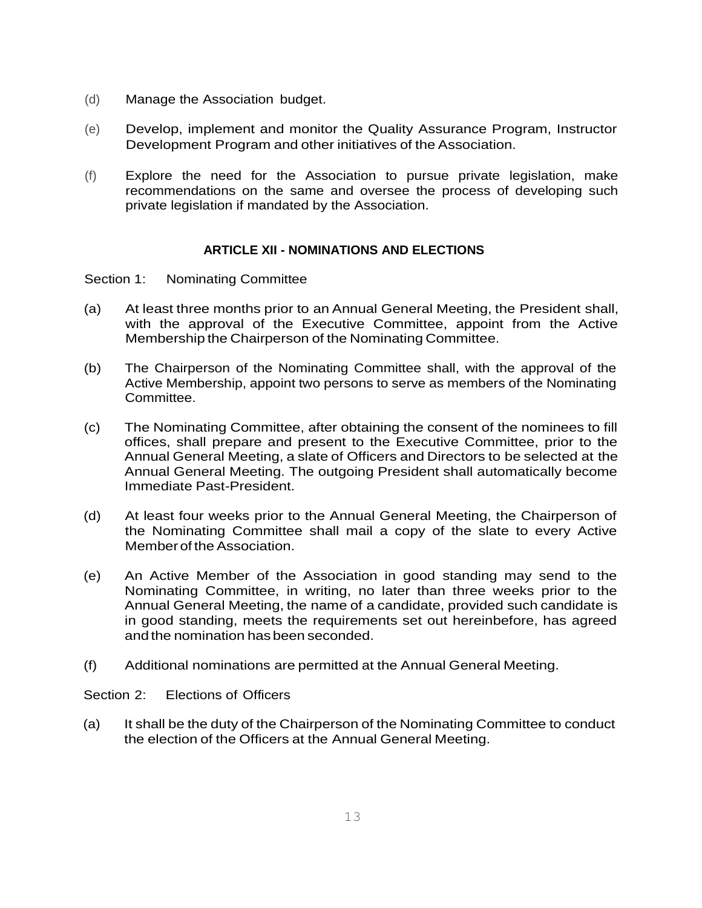- (d) Manage the Association budget.
- (e) Develop, implement and monitor the Quality Assurance Program, Instructor Development Program and other initiatives of the Association.
- (f) Explore the need for the Association to pursue private legislation, make recommendations on the same and oversee the process of developing such private legislation if mandated by the Association.

## **ARTICLE XII - NOMINATIONS AND ELECTIONS**

Section 1: Nominating Committee

- (a) At least three months prior to an Annual General Meeting, the President shall, with the approval of the Executive Committee, appoint from the Active Membership the Chairperson of the Nominating Committee.
- (b) The Chairperson of the Nominating Committee shall, with the approval of the Active Membership, appoint two persons to serve as members of the Nominating Committee.
- (c) The Nominating Committee, after obtaining the consent of the nominees to fill offices, shall prepare and present to the Executive Committee, prior to the Annual General Meeting, a slate of Officers and Directors to be selected at the Annual General Meeting. The outgoing President shall automatically become Immediate Past-President.
- (d) At least four weeks prior to the Annual General Meeting, the Chairperson of the Nominating Committee shall mail a copy of the slate to every Active Member of the Association.
- (e) An Active Member of the Association in good standing may send to the Nominating Committee, in writing, no later than three weeks prior to the Annual General Meeting, the name of a candidate, provided such candidate is in good standing, meets the requirements set out hereinbefore, has agreed andthe nomination hasbeen seconded.
- (f) Additional nominations are permitted at the Annual General Meeting.

Section 2: Elections of Officers

(a) It shall be the duty of the Chairperson of the Nominating Committee to conduct the election of the Officers at the Annual General Meeting.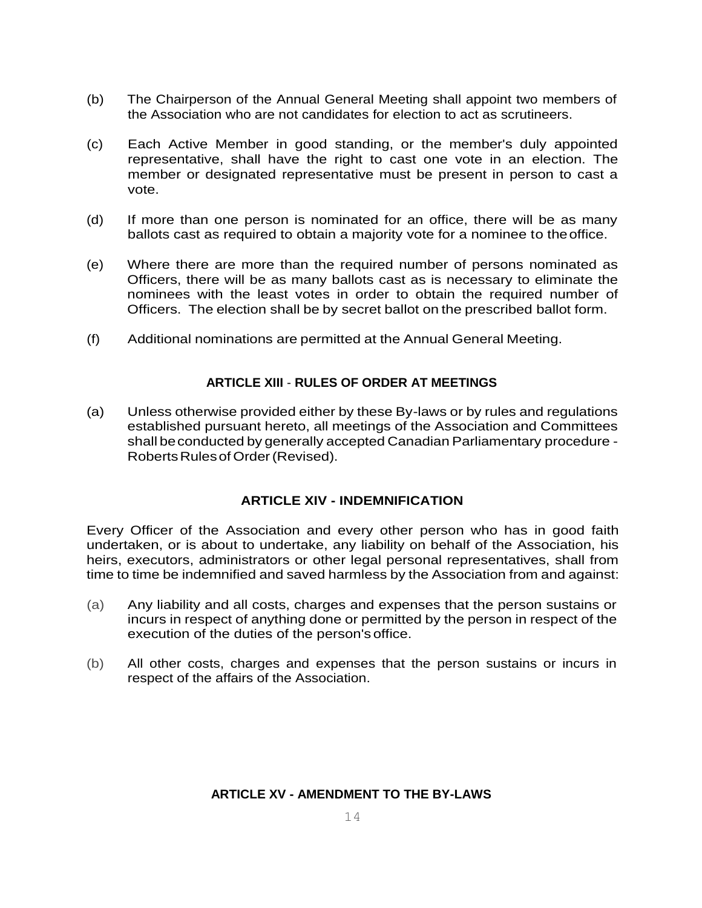- (b) The Chairperson of the Annual General Meeting shall appoint two members of the Association who are not candidates for election to act as scrutineers.
- (c) Each Active Member in good standing, or the member's duly appointed representative, shall have the right to cast one vote in an election. The member or designated representative must be present in person to cast a vote.
- (d) If more than one person is nominated for an office, there will be as many ballots cast as required to obtain a majority vote for a nominee to theoffice.
- (e) Where there are more than the required number of persons nominated as Officers, there will be as many ballots cast as is necessary to eliminate the nominees with the least votes in order to obtain the required number of Officers. The election shall be by secret ballot on the prescribed ballot form.
- (f) Additional nominations are permitted at the Annual General Meeting.

# **ARTICLE XIII** - **RULES OF ORDER AT MEETINGS**

(a) Unless otherwise provided either by these By-laws or by rules and regulations established pursuant hereto, all meetings of the Association and Committees shall be conducted by generally accepted Canadian Parliamentary procedure -Roberts Rules of Order (Revised).

#### **ARTICLE XIV - INDEMNIFICATION**

Every Officer of the Association and every other person who has in good faith undertaken, or is about to undertake, any liability on behalf of the Association, his heirs, executors, administrators or other legal personal representatives, shall from time to time be indemnified and saved harmless by the Association from and against:

- (a) Any liability and all costs, charges and expenses that the person sustains or incurs in respect of anything done or permitted by the person in respect of the execution of the duties of the person's office.
- (b) All other costs, charges and expenses that the person sustains or incurs in respect of the affairs of the Association.

# **ARTICLE XV - AMENDMENT TO THE BY-LAWS**